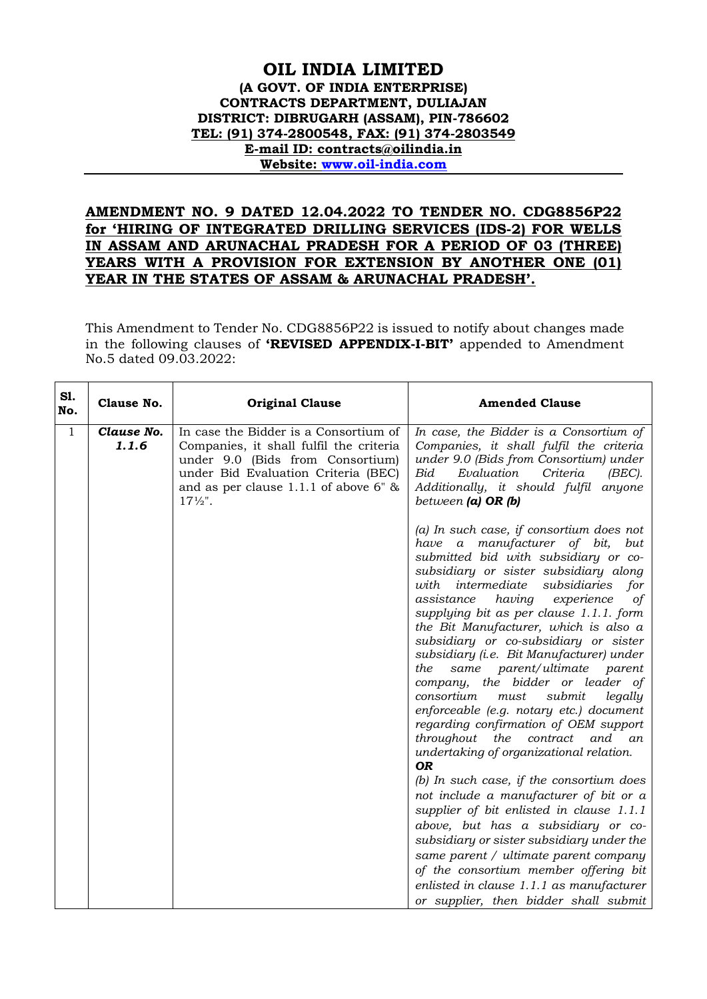## **OIL INDIA LIMITED (A GOVT. OF INDIA ENTERPRISE) CONTRACTS DEPARTMENT, DULIAJAN DISTRICT: DIBRUGARH (ASSAM), PIN-786602 TEL: (91) 374-2800548, FAX: (91) 374-2803549 E-mail ID: contracts@oilindia.in Website: [www.oil-india.com](http://www.oil-india.com/)**

## **AMENDMENT NO. 9 DATED 12.04.2022 TO TENDER NO. CDG8856P22 for 'HIRING OF INTEGRATED DRILLING SERVICES (IDS-2) FOR WELLS IN ASSAM AND ARUNACHAL PRADESH FOR A PERIOD OF 03 (THREE) YEARS WITH A PROVISION FOR EXTENSION BY ANOTHER ONE (01) YEAR IN THE STATES OF ASSAM & ARUNACHAL PRADESH'.**

This Amendment to Tender No. CDG8856P22 is issued to notify about changes made in the following clauses of **'REVISED APPENDIX-I-BIT'** appended to Amendment No.5 dated 09.03.2022:

| SI.<br>No.   | Clause No.          | <b>Original Clause</b>                                                                                                                                                                                                     | <b>Amended Clause</b>                                                                                                                                                                                                                                                                                                                                                                                                                                                                                                                                                                                                                                                                                                                                                                                                                                                                                                                                                                                                                                                                                                                    |
|--------------|---------------------|----------------------------------------------------------------------------------------------------------------------------------------------------------------------------------------------------------------------------|------------------------------------------------------------------------------------------------------------------------------------------------------------------------------------------------------------------------------------------------------------------------------------------------------------------------------------------------------------------------------------------------------------------------------------------------------------------------------------------------------------------------------------------------------------------------------------------------------------------------------------------------------------------------------------------------------------------------------------------------------------------------------------------------------------------------------------------------------------------------------------------------------------------------------------------------------------------------------------------------------------------------------------------------------------------------------------------------------------------------------------------|
| $\mathbf{1}$ | Clause No.<br>1.1.6 | In case the Bidder is a Consortium of<br>Companies, it shall fulfil the criteria<br>under 9.0 (Bids from Consortium)<br>under Bid Evaluation Criteria (BEC)<br>and as per clause 1.1.1 of above 6" &<br>$17\frac{1}{2}$ ". | In case, the Bidder is a Consortium of<br>Companies, it shall fulfil the criteria<br>under 9.0 (Bids from Consortium) under<br>Bid<br>Evaluation<br>Criteria<br>(BEC).<br>Additionally, it should fulfil anyone<br>between $(a)$ OR $(b)$                                                                                                                                                                                                                                                                                                                                                                                                                                                                                                                                                                                                                                                                                                                                                                                                                                                                                                |
|              |                     |                                                                                                                                                                                                                            | (a) In such case, if consortium does not<br>have a manufacturer of bit,<br>but<br>submitted bid with subsidiary or co-<br>subsidiary or sister subsidiary along<br>with intermediate<br>subsidiaries<br>for<br>assistance<br>having<br>experience<br>of<br>supplying bit as per clause 1.1.1. form<br>the Bit Manufacturer, which is also a<br>subsidiary or co-subsidiary or sister<br>subsidiary (i.e. Bit Manufacturer) under<br>same parent/ultimate parent<br>the<br>company, the bidder or leader of<br>consortium<br>must<br>submit<br>legally<br>enforceable (e.g. notary etc.) document<br>regarding confirmation of OEM support<br>throughout<br>contract<br>and an<br>the<br>undertaking of organizational relation.<br><b>OR</b><br>(b) In such case, if the consortium does<br>not include a manufacturer of bit or a<br>supplier of bit enlisted in clause 1.1.1<br>above, but has a subsidiary or co-<br>subsidiary or sister subsidiary under the<br>same parent / ultimate parent company<br>of the consortium member offering bit<br>enlisted in clause 1.1.1 as manufacturer<br>or supplier, then bidder shall submit |